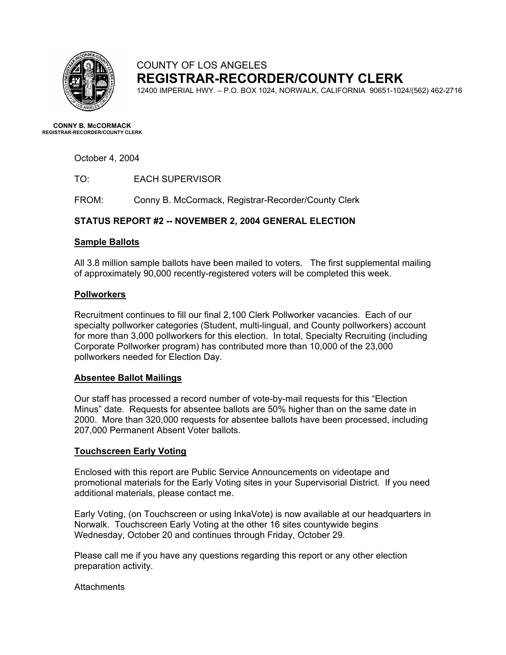

## COUNTY OF LOS ANGELES **REGISTRAR-RECORDER/COUNTY CLERK**

12400 IMPERIAL HWY. – P.O. BOX 1024, NORWALK, CALIFORNIA 90651-1024/(562) 462-2716

**CONNY B. McCORMACK REGISTRAR-RECORDER/COUNTY CLERK** 

October 4, 2004

TO: EACH SUPERVISOR

FROM: Conny B. McCormack, Registrar-Recorder/County Clerk

### **STATUS REPORT #2 -- NOVEMBER 2, 2004 GENERAL ELECTION**

#### **Sample Ballots**

All 3.8 million sample ballots have been mailed to voters. The first supplemental mailing of approximately 90,000 recently-registered voters will be completed this week.

#### **Pollworkers**

Recruitment continues to fill our final 2,100 Clerk Pollworker vacancies. Each of our specialty pollworker categories (Student, multi-lingual, and County pollworkers) account for more than 3,000 pollworkers for this election. In total, Specialty Recruiting (including Corporate Pollworker program) has contributed more than 10,000 of the 23,000 pollworkers needed for Election Day.

#### **Absentee Ballot Mailings**

Our staff has processed a record number of vote-by-mail requests for this "Election Minus" date. Requests for absentee ballots are 50% higher than on the same date in 2000. More than 320,000 requests for absentee ballots have been processed, including 207,000 Permanent Absent Voter ballots.

#### **Touchscreen Early Voting**

Enclosed with this report are Public Service Announcements on videotape and promotional materials for the Early Voting sites in your Supervisorial District. If you need additional materials, please contact me.

Early Voting, (on Touchscreen or using InkaVote) is now available at our headquarters in Norwalk. Touchscreen Early Voting at the other 16 sites countywide begins Wednesday, October 20 and continues through Friday, October 29.

Please call me if you have any questions regarding this report or any other election preparation activity.

**Attachments**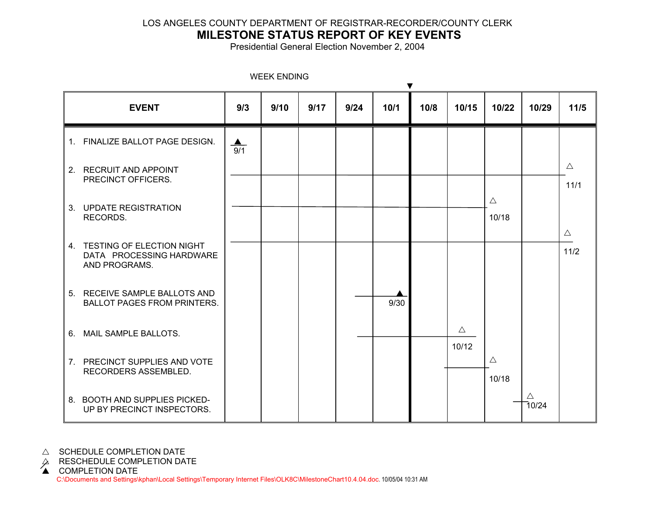## LOS ANGELES COUNTY DEPARTMENT OF REGISTRAR-RECORDER/COUNTY CLERK

# **MILESTONE STATUS REPORT OF KEY EVENTS**

Presidential General Election November 2, 2004

| ▼                                                                         |                         |      |      |      |      |      |                      |                      |                      |                     |
|---------------------------------------------------------------------------|-------------------------|------|------|------|------|------|----------------------|----------------------|----------------------|---------------------|
| <b>EVENT</b>                                                              | 9/3                     | 9/10 | 9/17 | 9/24 | 10/1 | 10/8 | 10/15                | 10/22                | 10/29                | $11/5$              |
| 1. FINALIZE BALLOT PAGE DESIGN.                                           | $\blacktriangle$<br>9/1 |      |      |      |      |      |                      |                      |                      |                     |
| 2. RECRUIT AND APPOINT<br>PRECINCT OFFICERS.                              |                         |      |      |      |      |      |                      |                      |                      | $\triangle$<br>11/1 |
| 3. UPDATE REGISTRATION<br>RECORDS.                                        |                         |      |      |      |      |      |                      | $\triangle$<br>10/18 |                      |                     |
| 4. TESTING OF ELECTION NIGHT<br>DATA PROCESSING HARDWARE<br>AND PROGRAMS. |                         |      |      |      |      |      |                      |                      |                      | $\triangle$<br>11/2 |
| 5. RECEIVE SAMPLE BALLOTS AND<br><b>BALLOT PAGES FROM PRINTERS.</b>       |                         |      |      |      | 9/30 |      |                      |                      |                      |                     |
| 6. MAIL SAMPLE BALLOTS.                                                   |                         |      |      |      |      |      | $\triangle$<br>10/12 |                      |                      |                     |
| 7. PRECINCT SUPPLIES AND VOTE<br>RECORDERS ASSEMBLED.                     |                         |      |      |      |      |      |                      | $\triangle$<br>10/18 |                      |                     |
| 8. BOOTH AND SUPPLIES PICKED-<br>UP BY PRECINCT INSPECTORS.               |                         |      |      |      |      |      |                      |                      | $\triangle$<br>70/24 |                     |

WEEK ENDING

 $\triangle$  SCHEDULE COMPLETION DATE